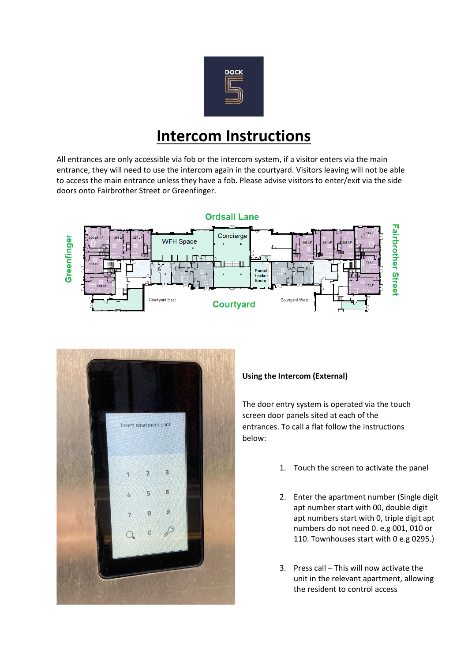

## **Intercom Instructions**

All entrances are only accessible via fob or the intercom system, if a visitor enters via the main entrance, they will need to use the intercom again in the courtyard. Visitors leaving will not be able to access the main entrance unless they have a fob. Please advise visitors to enter/exit via the side doors onto Fairbrother Street or Greenfinger.





## **Using the Intercom (External)**

The door entry system is operated via the touch screen door panels sited at each of the entrances. To call a flat follow the instructions below:

- 1. Touch the screen to activate the panel
- 2. Enter the apartment number (Single digit apt number start with 00, double digit apt numbers start with 0, triple digit apt numbers do not need 0. e.g 001, 010 or 110. Townhouses start with 0 e.g 0295.)
- 3. Press call This will now activate the unit in the relevant apartment, allowing the resident to control access